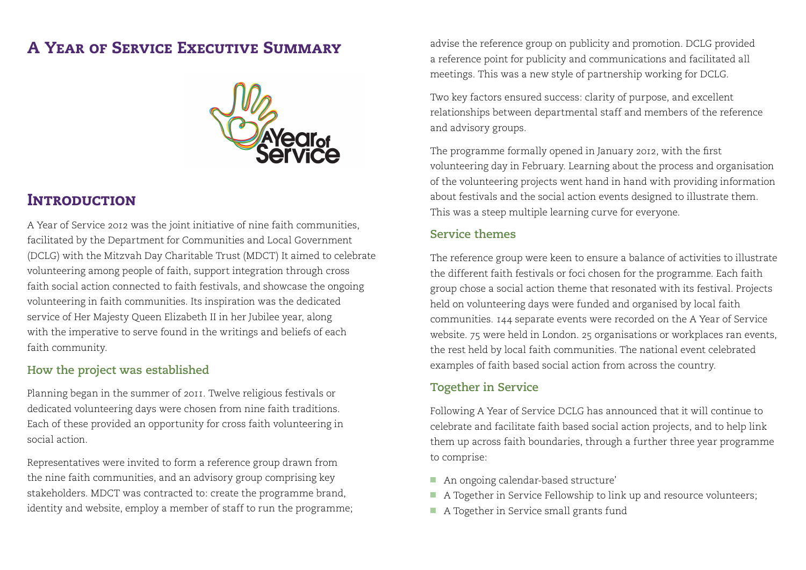# A Year of Service Executive Summary



# **INTRODUCTION**

A Year of Service 2012 was the joint initiative of nine faith communities, facilitated by the Department for Communities and Local Government (DCLG) with the Mitzvah Day Charitable Trust (MDCT) It aimed to celebrate volunteering among people of faith, support integration through cross faith social action connected to faith festivals, and showcase the ongoing volunteering in faith communities. Its inspiration was the dedicated service of Her Majesty Queen Elizabeth II in her Jubilee year, along with the imperative to serve found in the writings and beliefs of each faith community.

## **How the project was established**

Planning began in the summer of 2011. Twelve religious festivals or dedicated volunteering days were chosen from nine faith traditions. Each of these provided an opportunity for cross faith volunteering in social action.

Representatives were invited to form a reference group drawn from the nine faith communities, and an advisory group comprising key stakeholders. MDCT was contracted to: create the programme brand, identity and website, employ a member of staff to run the programme; advise the reference group on publicity and promotion. DCLG provided a reference point for publicity and communications and facilitated all meetings. This was a new style of partnership working for DCLG.

Two key factors ensured success: clarity of purpose, and excellent relationships between departmental staff and members of the reference and advisory groups.

The programme formally opened in January 2012, with the first volunteering day in February. Learning about the process and organisation of the volunteering projects went hand in hand with providing information about festivals and the social action events designed to illustrate them. This was a steep multiple learning curve for everyone.

#### **Service themes**

The reference group were keen to ensure a balance of activities to illustrate the different faith festivals or foci chosen for the programme. Each faith group chose a social action theme that resonated with its festival. Projects held on volunteering days were funded and organised by local faith communities. 144 separate events were recorded on the A Year of Service website. 75 were held in London. 25 organisations or workplaces ran events, the rest held by local faith communities. The national event celebrated examples of faith based social action from across the country.

## **Together in Service**

Following A Year of Service DCLG has announced that it will continue to celebrate and facilitate faith based social action projects, and to help link them up across faith boundaries, through a further three year programme to comprise:

- An ongoing calendar-based structure'
- A Together in Service Fellowship to link up and resource volunteers;
- A Together in Service small grants fund